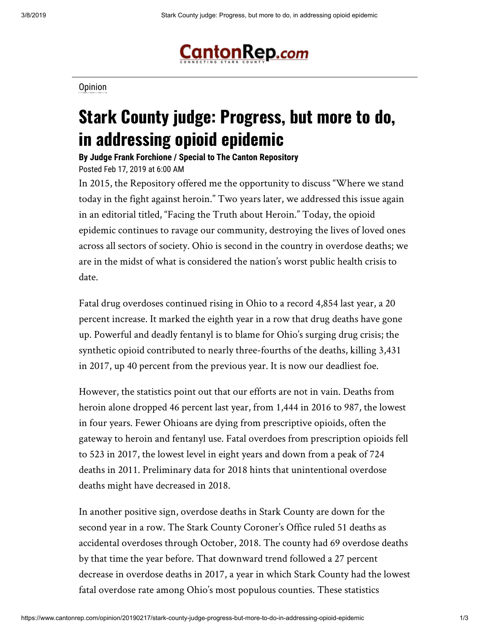

**[Opinion](https://www.cantonrep.com/search?text=Opinion)** 

## **Stark County judge: Progress, but more to do, in addressing opioid epidemic**

**By Judge Frank Forchione / Special to The Canton Repository** Posted Feb 17, 2019 at 6:00 AM

In 2015, the Repository offered me the opportunity to discuss "Where we stand today in the fight against heroin." Two years later, we addressed this issue again in an editorial titled, "Facing the Truth about Heroin." Today, the opioid epidemic continues to ravage our community, destroying the lives of loved ones across all sectors of society. Ohio is second in the country in overdose deaths; we are in the midst of what is considered the nation's worst public health crisis to date.

Fatal drug overdoses continued rising in Ohio to a record 4,854 last year, a 20 percent increase. It marked the eighth year in a row that drug deaths have gone up. Powerful and deadly fentanyl is to blame for Ohio's surging drug crisis; the synthetic opioid contributed to nearly three-fourths of the deaths, killing 3,431 in 2017, up 40 percent from the previous year. It is now our deadliest foe.

However, the statistics point out that our efforts are not in vain. Deaths from heroin alone dropped 46 percent last year, from 1,444 in 2016 to 987, the lowest in four years. Fewer Ohioans are dying from prescriptive opioids, often the gateway to heroin and fentanyl use. Fatal overdoes from prescription opioids fell to 523 in 2017, the lowest level in eight years and down from a peak of 724 deaths in 2011. Preliminary data for 2018 hints that unintentional overdose deaths might have decreased in 2018.

In another positive sign, overdose deaths in Stark County are down for the second year in a row. The Stark County Coroner's Office ruled 51 deaths as accidental overdoses through October, 2018. The county had 69 overdose deaths by that time the year before. That downward trend followed a 27 percent decrease in overdose deaths in 2017, a year in which Stark County had the lowest fatal overdose rate among Ohio's most populous counties. These statistics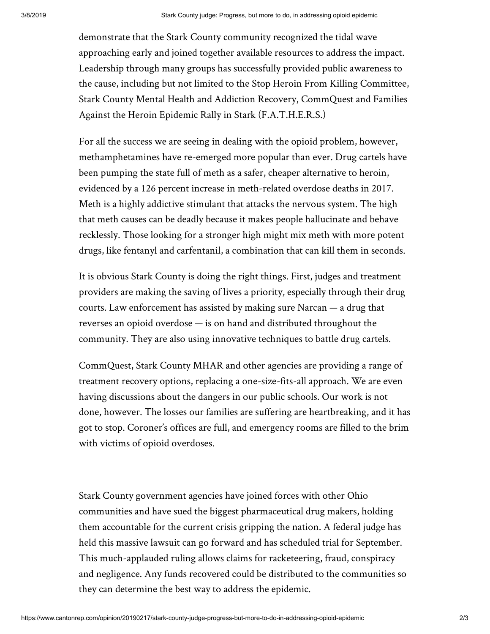demonstrate that the Stark County community recognized the tidal wave approaching early and joined together available resources to address the impact. Leadership through many groups has successfully provided public awareness to the cause, including but not limited to the Stop Heroin From Killing Committee, Stark County Mental Health and Addiction Recovery, CommQuest and Families Against the Heroin Epidemic Rally in Stark (F.A.T.H.E.R.S.)

For all the success we are seeing in dealing with the opioid problem, however, methamphetamines have re-emerged more popular than ever. Drug cartels have been pumping the state full of meth as a safer, cheaper alternative to heroin, evidenced by a 126 percent increase in meth-related overdose deaths in 2017. Meth is a highly addictive stimulant that attacks the nervous system. The high that meth causes can be deadly because it makes people hallucinate and behave recklessly. Those looking for a stronger high might mix meth with more potent drugs, like fentanyl and carfentanil, a combination that can kill them in seconds.

It is obvious Stark County is doing the right things. First, judges and treatment providers are making the saving of lives a priority, especially through their drug courts. Law enforcement has assisted by making sure Narcan — a drug that reverses an opioid overdose — is on hand and distributed throughout the community. They are also using innovative techniques to battle drug cartels.

CommQuest, Stark County MHAR and other agencies are providing a range of treatment recovery options, replacing a one-size-fits-all approach. We are even having discussions about the dangers in our public schools. Our work is not done, however. The losses our families are suffering are heartbreaking, and it has got to stop. Coroner's offices are full, and emergency rooms are filled to the brim with victims of opioid overdoses.

Stark County government agencies have joined forces with other Ohio communities and have sued the biggest pharmaceutical drug makers, holding them accountable for the current crisis gripping the nation. A federal judge has held this massive lawsuit can go forward and has scheduled trial for September. This much-applauded ruling allows claims for racketeering, fraud, conspiracy and negligence. Any funds recovered could be distributed to the communities so they can determine the best way to address the epidemic.